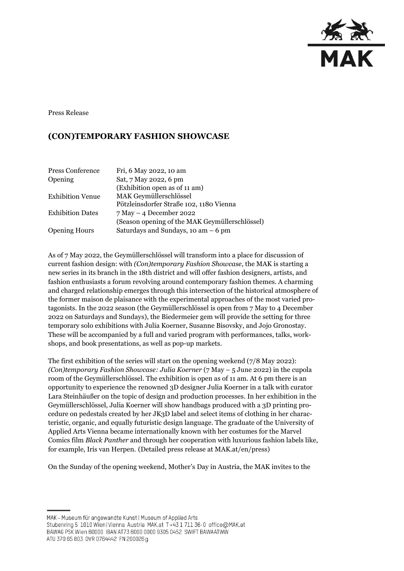

Press Release

# **(CON)TEMPORARY FASHION SHOWCASE**

| Press Conference        | Fri, 6 May 2022, 10 am                         |
|-------------------------|------------------------------------------------|
| Opening                 | Sat, 7 May 2022, 6 pm                          |
|                         | (Exhibition open as of 11 am)                  |
| <b>Exhibition Venue</b> | MAK Geymüllerschlössel                         |
|                         | Pötzleinsdorfer Straße 102, 1180 Vienna        |
| <b>Exhibition Dates</b> | $7$ May $-$ 4 December 2022                    |
|                         | (Season opening of the MAK Geymüllerschlössel) |
| <b>Opening Hours</b>    | Saturdays and Sundays, 10 am $-6$ pm           |

As of 7 May 2022, the Geymüllerschlössel will transform into a place for discussion of current fashion design: with *(Con)temporary Fashion Showcase*, the MAK is starting a new series in its branch in the 18th district and will offer fashion designers, artists, and fashion enthusiasts a forum revolving around contemporary fashion themes. A charming and charged relationship emerges through this intersection of the historical atmosphere of the former maison de plaisance with the experimental approaches of the most varied protagonists. In the 2022 season (the Geymüllerschlössel is open from 7 May to 4 December 2022 on Saturdays and Sundays), the Biedermeier gem will provide the setting for three temporary solo exhibitions with Julia Koerner, Susanne Bisovsky, and Jojo Gronostay. These will be accompanied by a full and varied program with performances, talks, workshops, and book presentations, as well as pop-up markets.

The first exhibition of the series will start on the opening weekend (7/8 May 2022): *(Con)temporary Fashion Showcase: Julia Koerner* (7 May – 5 June 2022) in the cupola room of the Geymüllerschlössel. The exhibition is open as of 11 am. At 6 pm there is an opportunity to experience the renowned 3D designer Julia Koerner in a talk with curator Lara Steinhäußer on the topic of design and production processes. In her exhibition in the Geymüllerschlössel, Julia Koerner will show handbags produced with a 3D printing procedure on pedestals created by her JK3D label and select items of clothing in her characteristic, organic, and equally futuristic design language. The graduate of the University of Applied Arts Vienna became internationally known with her costumes for the Marvel Comics film *Black Panther* and through her cooperation with luxurious fashion labels like, for example, Iris van Herpen. (Detailed press release at MAK.at/en/press)

On the Sunday of the opening weekend, Mother's Day in Austria, the MAK invites to the

MAK - Museum für angewandte Kunst | Museum of Applied Arts

ATU 370 65 803 DVR 0764442 FN 200026 g

Stubenring 5 1010 Wien | Vienna Austria MAK.at T+43 1 711 36-0 office@MAK.at

BAWAG PSK Wien 60000 IBAN AT73 6000 0000 9305 0452 SWIFT BAWAATWW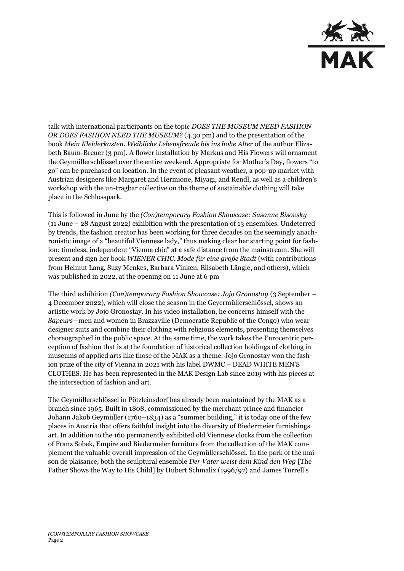

talk with international participants on the topic *DOES THE MUSEUM NEED FASHION OR DOES FASHION NEED THE MUSEUM?* (4.30 pm) and to the presentation of the book *Mein Kleiderkasten. Weibliche Lebensfreude bis ins hohe Alter* of the author Elizabeth Baum-Breuer (3 pm). A flower installation by Markus and His Flowers will ornament the Geymüllerschlössel over the entire weekend. Appropriate for Mother's Day, flowers "to go" can be purchased on location. In the event of pleasant weather, a pop-up market with Austrian designers like Margaret and Hermione, Miyagi, and Rendl, as well as a children's workshop with the un-tragbar collective on the theme of sustainable clothing will take place in the Schlosspark.

This is followed in June by the *(Con)temporary Fashion Showcase: Susanne Bisovsky*  (11 June – 28 August 2022) exhibition with the presentation of 13 ensembles. Undeterred by trends, the fashion creator has been working for three decades on the seemingly anachronistic image of a "beautiful Viennese lady," thus making clear her starting point for fashion: timeless, independent "Vienna chic" at a safe distance from the mainstream. She will present and sign her book *WIENER CHIC. Mode für eine große Stadt* (with contributions from Helmut Lang, Suzy Menkes, Barbara Vinken, Elisabeth Längle, and others), which was published in 2022, at the opening on 11 June at 6 pm

The third exhibition *(Con)temporary Fashion Showcase: Jojo Gronostay* (3 September – 4 December 2022), which will close the season in the Geyermüllerschlössel, shows an artistic work by Jojo Gronostay. In his video installation, he concerns himself with the *Sapeurs*—men and women in Brazzaville (Democratic Republic of the Congo) who wear designer suits and combine their clothing with religious elements, presenting themselves choreographed in the public space. At the same time, the work takes the Eurocentric perception of fashion that is at the foundation of historical collection holdings of clothing in museums of applied arts like those of the MAK as a theme. Jojo Gronostay won the fashion prize of the city of Vienna in 2021 with his label DWMC − DEAD WHITE MEN'S CLOTHES. He has been represented in the MAK Design Lab since 2019 with his pieces at the intersection of fashion and art.

The Geymüllerschlössel in Pötzleinsdorf has already been maintained by the MAK as a branch since 1965. Built in 1808, commissioned by the merchant prince and financier Johann Jakob Geymüller (1760–1834) as a "summer building," it is today one of the few places in Austria that offers faithful insight into the diversity of Biedermeier furnishings art. In addition to the 160 permanently exhibited old Viennese clocks from the collection of Franz Sobek, Empire and Biedermeier furniture from the collection of the MAK complement the valuable overall impression of the Geymüllerschlössel. In the park of the maison de plaisance, both the sculptural ensemble *Der Vater weist dem Kind den Weg* [The Father Shows the Way to His Child] by Hubert Schmalix (1996/97) and James Turrell's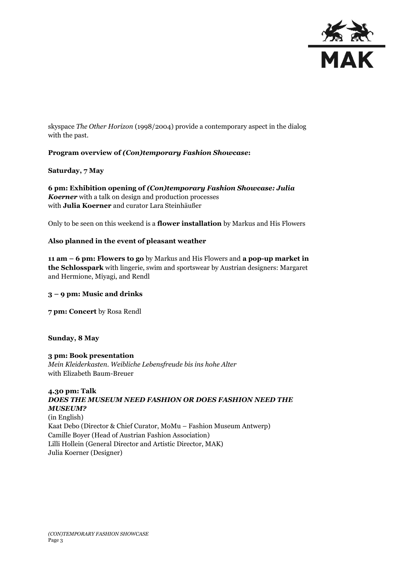

skyspace *The Other Horizon* (1998/2004) provide a contemporary aspect in the dialog with the past.

## **Program overview of** *(Con)temporary Fashion Showcase***:**

#### **Saturday, 7 May**

**6 pm: Exhibition opening of** *(Con)temporary Fashion Showcase: Julia Koerner* with a talk on design and production processes with **Julia Koerner** and curator Lara Steinhäußer

Only to be seen on this weekend is a **flower installation** by Markus and His Flowers

## **Also planned in the event of pleasant weather**

**11 am – 6 pm: Flowers to go** by Markus and His Flowers and **a pop-up market in the Schlosspark** with lingerie, swim and sportswear by Austrian designers: Margaret and Hermione, Miyagi, and Rendl

#### **3 – 9 pm: Music and drinks**

**7 pm: Concert** by Rosa Rendl

#### **Sunday, 8 May**

#### **3 pm: Book presentation** *Mein Kleiderkasten. Weibliche Lebensfreude bis ins hohe Alter* with Elizabeth Baum-Breuer

# **4.30 pm: Talk** *DOES THE MUSEUM NEED FASHION OR DOES FASHION NEED THE MUSEUM?*

(in English) Kaat Debo (Director & Chief Curator, MoMu – Fashion Museum Antwerp) Camille Boyer (Head of Austrian Fashion Association) Lilli Hollein (General Director and Artistic Director, MAK) Julia Koerner (Designer)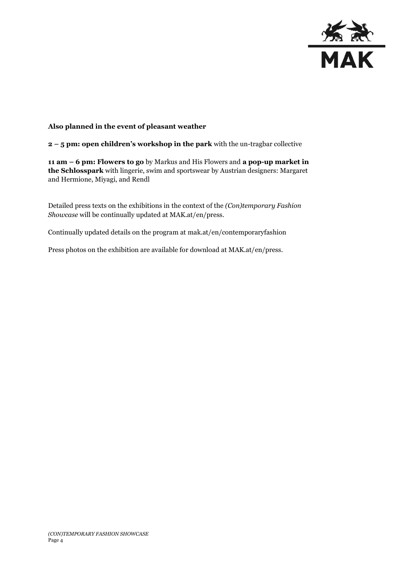

### **Also planned in the event of pleasant weather**

**2 – 5 pm: open children's workshop in the park** with the un-tragbar collective

**11 am – 6 pm: Flowers to go** by Markus and His Flowers and **a pop-up market in the Schlosspark** with lingerie, swim and sportswear by Austrian designers: Margaret and Hermione, Miyagi, and Rendl

Detailed press texts on the exhibitions in the context of the *(Con)temporary Fashion Showcase* will be continually updated at MAK.at/en/press.

Continually updated details on the program at mak.at/en/contemporaryfashion

Press photos on the exhibition are available for download at MAK.at/en/press.